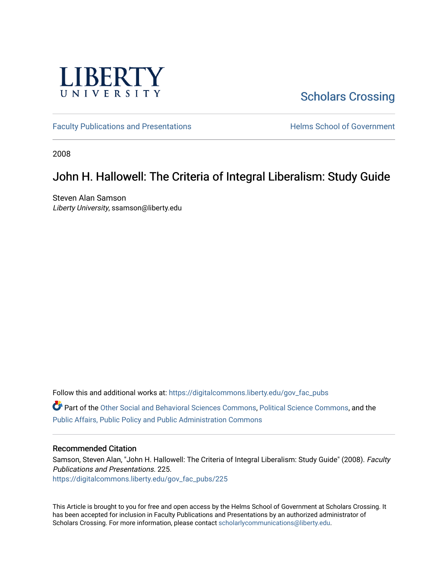

# [Scholars Crossing](https://digitalcommons.liberty.edu/)

[Faculty Publications and Presentations](https://digitalcommons.liberty.edu/gov_fac_pubs) **Exercise School of Government** 

2008

### John H. Hallowell: The Criteria of Integral Liberalism: Study Guide

Steven Alan Samson Liberty University, ssamson@liberty.edu

Follow this and additional works at: [https://digitalcommons.liberty.edu/gov\\_fac\\_pubs](https://digitalcommons.liberty.edu/gov_fac_pubs?utm_source=digitalcommons.liberty.edu%2Fgov_fac_pubs%2F225&utm_medium=PDF&utm_campaign=PDFCoverPages)

Part of the [Other Social and Behavioral Sciences Commons](http://network.bepress.com/hgg/discipline/437?utm_source=digitalcommons.liberty.edu%2Fgov_fac_pubs%2F225&utm_medium=PDF&utm_campaign=PDFCoverPages), [Political Science Commons](http://network.bepress.com/hgg/discipline/386?utm_source=digitalcommons.liberty.edu%2Fgov_fac_pubs%2F225&utm_medium=PDF&utm_campaign=PDFCoverPages), and the [Public Affairs, Public Policy and Public Administration Commons](http://network.bepress.com/hgg/discipline/393?utm_source=digitalcommons.liberty.edu%2Fgov_fac_pubs%2F225&utm_medium=PDF&utm_campaign=PDFCoverPages)

#### Recommended Citation

Samson, Steven Alan, "John H. Hallowell: The Criteria of Integral Liberalism: Study Guide" (2008). Faculty Publications and Presentations. 225. [https://digitalcommons.liberty.edu/gov\\_fac\\_pubs/225](https://digitalcommons.liberty.edu/gov_fac_pubs/225?utm_source=digitalcommons.liberty.edu%2Fgov_fac_pubs%2F225&utm_medium=PDF&utm_campaign=PDFCoverPages)

This Article is brought to you for free and open access by the Helms School of Government at Scholars Crossing. It has been accepted for inclusion in Faculty Publications and Presentations by an authorized administrator of Scholars Crossing. For more information, please contact [scholarlycommunications@liberty.edu.](mailto:scholarlycommunications@liberty.edu)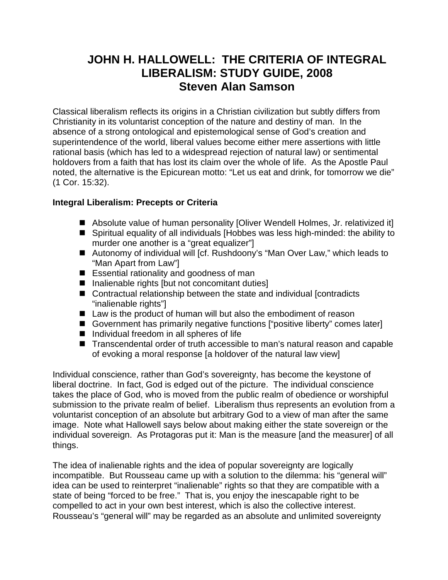# **JOHN H. HALLOWELL: THE CRITERIA OF INTEGRAL LIBERALISM: STUDY GUIDE, 2008 Steven Alan Samson**

Classical liberalism reflects its origins in a Christian civilization but subtly differs from Christianity in its voluntarist conception of the nature and destiny of man. In the absence of a strong ontological and epistemological sense of God's creation and superintendence of the world, liberal values become either mere assertions with little rational basis (which has led to a widespread rejection of natural law) or sentimental holdovers from a faith that has lost its claim over the whole of life. As the Apostle Paul noted, the alternative is the Epicurean motto: "Let us eat and drink, for tomorrow we die" (1 Cor. 15:32).

### **Integral Liberalism: Precepts or Criteria**

- Absolute value of human personality [Oliver Wendell Holmes, Jr. relativized it]
- Spiritual equality of all individuals [Hobbes was less high-minded: the ability to murder one another is a "great equalizer"]
- Autonomy of individual will [cf. Rushdoony's "Man Over Law," which leads to "Man Apart from Law"]
- Essential rationality and goodness of man
- $\blacksquare$  Inalienable rights [but not concomitant duties]
- Contractual relationship between the state and individual [contradicts] "inalienable rights"]
- Law is the product of human will but also the embodiment of reason
- Government has primarily negative functions ["positive liberty" comes later]
- $\blacksquare$  Individual freedom in all spheres of life
- Transcendental order of truth accessible to man's natural reason and capable of evoking a moral response [a holdover of the natural law view]

Individual conscience, rather than God's sovereignty, has become the keystone of liberal doctrine. In fact, God is edged out of the picture. The individual conscience takes the place of God, who is moved from the public realm of obedience or worshipful submission to the private realm of belief. Liberalism thus represents an evolution from a voluntarist conception of an absolute but arbitrary God to a view of man after the same image. Note what Hallowell says below about making either the state sovereign or the individual sovereign. As Protagoras put it: Man is the measure [and the measurer] of all things.

The idea of inalienable rights and the idea of popular sovereignty are logically incompatible. But Rousseau came up with a solution to the dilemma: his "general will" idea can be used to reinterpret "inalienable" rights so that they are compatible with a state of being "forced to be free." That is, you enjoy the inescapable right to be compelled to act in your own best interest, which is also the collective interest. Rousseau's "general will" may be regarded as an absolute and unlimited sovereignty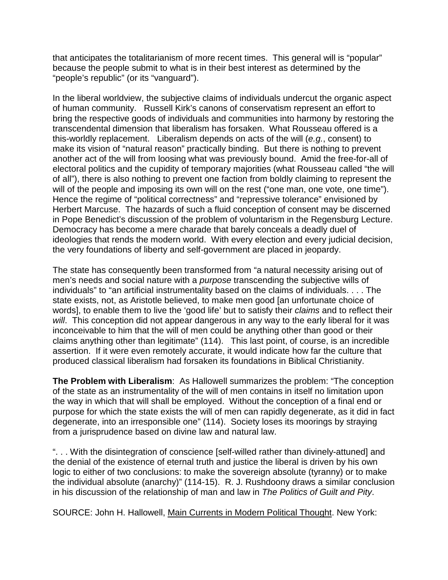that anticipates the totalitarianism of more recent times. This general will is "popular" because the people submit to what is in their best interest as determined by the "people's republic" (or its "vanguard").

In the liberal worldview, the subjective claims of individuals undercut the organic aspect of human community. Russell Kirk's canons of conservatism represent an effort to bring the respective goods of individuals and communities into harmony by restoring the transcendental dimension that liberalism has forsaken. What Rousseau offered is a this-worldly replacement. Liberalism depends on acts of the will (*e.g.*, consent) to make its vision of "natural reason" practically binding. But there is nothing to prevent another act of the will from loosing what was previously bound. Amid the free-for-all of electoral politics and the cupidity of temporary majorities (what Rousseau called "the will of all"), there is also nothing to prevent one faction from boldly claiming to represent the will of the people and imposing its own will on the rest ("one man, one vote, one time"). Hence the regime of "political correctness" and "repressive tolerance" envisioned by Herbert Marcuse. The hazards of such a fluid conception of consent may be discerned in Pope Benedict's discussion of the problem of voluntarism in the Regensburg Lecture. Democracy has become a mere charade that barely conceals a deadly duel of ideologies that rends the modern world. With every election and every judicial decision, the very foundations of liberty and self-government are placed in jeopardy.

The state has consequently been transformed from "a natural necessity arising out of men's needs and social nature with a *purpose* transcending the subjective wills of individuals" to "an artificial instrumentality based on the claims of individuals. . . . The state exists, not, as Aristotle believed, to make men good [an unfortunate choice of words], to enable them to live the 'good life' but to satisfy their *claims* and to reflect their *will*. This conception did not appear dangerous in any way to the early liberal for it was inconceivable to him that the will of men could be anything other than good or their claims anything other than legitimate" (114). This last point, of course, is an incredible assertion. If it were even remotely accurate, it would indicate how far the culture that produced classical liberalism had forsaken its foundations in Biblical Christianity.

**The Problem with Liberalism**: As Hallowell summarizes the problem: "The conception of the state as an instrumentality of the will of men contains in itself no limitation upon the way in which that will shall be employed. Without the conception of a final end or purpose for which the state exists the will of men can rapidly degenerate, as it did in fact degenerate, into an irresponsible one" (114). Society loses its moorings by straying from a jurisprudence based on divine law and natural law.

". . . With the disintegration of conscience [self-willed rather than divinely-attuned] and the denial of the existence of eternal truth and justice the liberal is driven by his own logic to either of two conclusions: to make the sovereign absolute (tyranny) or to make the individual absolute (anarchy)" (114-15). R. J. Rushdoony draws a similar conclusion in his discussion of the relationship of man and law in *The Politics of Guilt and Pity*.

SOURCE: John H. Hallowell, Main Currents in Modern Political Thought. New York: